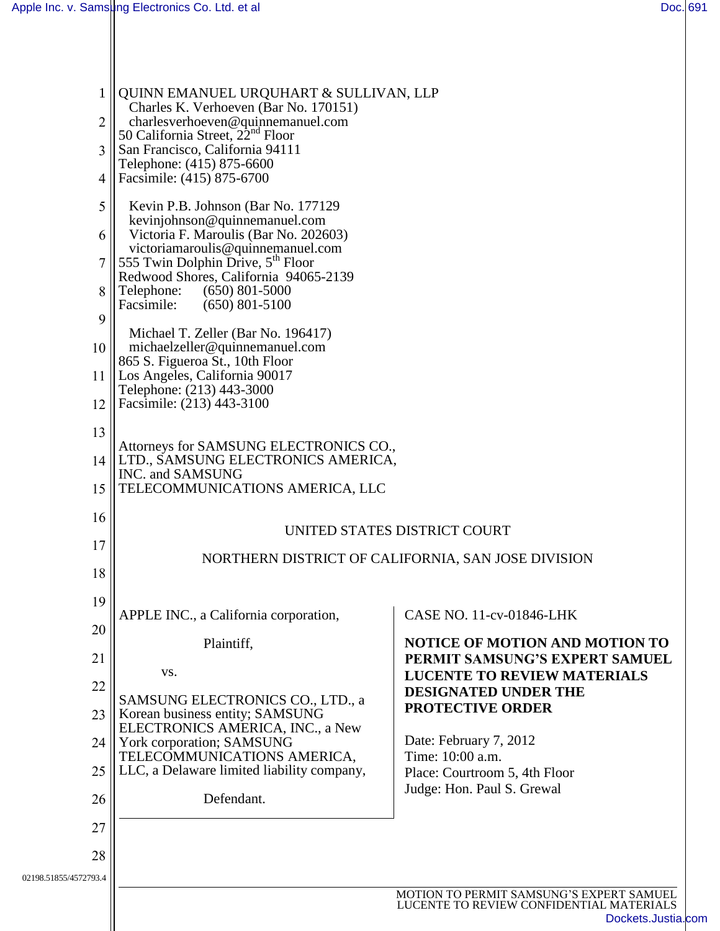| $\mathbf{1}$<br>$\overline{2}$<br>3<br>4<br>5<br>6<br>8<br>9<br>10<br>12<br>13 | QUINN EMANUEL URQUHART & SULLIVAN, LLP<br>Charles K. Verhoeven (Bar No. 170151)<br>charlesverhoeven@quinnemanuel.com<br>50 California Street, $22nd$ Floor<br>San Francisco, California 94111<br>Telephone: (415) 875-6600<br>Facsimile: (415) 875-6700<br>Kevin P.B. Johnson (Bar No. 177129)<br>kevinjohnson@quinnemanuel.com<br>Victoria F. Maroulis (Bar No. 202603)<br>victoriamaroulis@quinnemanuel.com<br>555 Twin Dolphin Drive, 5 <sup>th</sup> Floor<br>Redwood Shores, California 94065-2139<br>Telephone:<br>$(650)$ 801-5000<br>Facsimile:<br>$(650)$ 801-5100<br>Michael T. Zeller (Bar No. 196417)<br>michaelzeller@quinnemanuel.com<br>865 S. Figueroa St., 10th Floor<br>11   Los Angeles, California 90017<br>Telephone: (213) 443-3000<br>Facsimile: (213) 443-3100<br>Attorneys for SAMSUNG ELECTRONICS CO.,<br>14   LTD., SAMSUNG ELECTRONICS AMERICA, |                                                                                                            |  |
|--------------------------------------------------------------------------------|-----------------------------------------------------------------------------------------------------------------------------------------------------------------------------------------------------------------------------------------------------------------------------------------------------------------------------------------------------------------------------------------------------------------------------------------------------------------------------------------------------------------------------------------------------------------------------------------------------------------------------------------------------------------------------------------------------------------------------------------------------------------------------------------------------------------------------------------------------------------------------|------------------------------------------------------------------------------------------------------------|--|
| 15                                                                             | INC. and SAMSUNG<br>TELECOMMUNICATIONS AMERICA, LLC                                                                                                                                                                                                                                                                                                                                                                                                                                                                                                                                                                                                                                                                                                                                                                                                                         |                                                                                                            |  |
| 16                                                                             |                                                                                                                                                                                                                                                                                                                                                                                                                                                                                                                                                                                                                                                                                                                                                                                                                                                                             |                                                                                                            |  |
| 17                                                                             | UNITED STATES DISTRICT COURT<br>NORTHERN DISTRICT OF CALIFORNIA, SAN JOSE DIVISION                                                                                                                                                                                                                                                                                                                                                                                                                                                                                                                                                                                                                                                                                                                                                                                          |                                                                                                            |  |
| 18                                                                             |                                                                                                                                                                                                                                                                                                                                                                                                                                                                                                                                                                                                                                                                                                                                                                                                                                                                             |                                                                                                            |  |
| 19                                                                             | APPLE INC., a California corporation,                                                                                                                                                                                                                                                                                                                                                                                                                                                                                                                                                                                                                                                                                                                                                                                                                                       | CASE NO. 11-cv-01846-LHK                                                                                   |  |
| 20                                                                             | Plaintiff,                                                                                                                                                                                                                                                                                                                                                                                                                                                                                                                                                                                                                                                                                                                                                                                                                                                                  | NOTICE OF MOTION AND MOTION TO                                                                             |  |
| 21                                                                             | VS.                                                                                                                                                                                                                                                                                                                                                                                                                                                                                                                                                                                                                                                                                                                                                                                                                                                                         | PERMIT SAMSUNG'S EXPERT SAMUEL<br><b>LUCENTE TO REVIEW MATERIALS</b>                                       |  |
| 22<br>23                                                                       | SAMSUNG ELECTRONICS CO., LTD., a<br>Korean business entity; SAMSUNG                                                                                                                                                                                                                                                                                                                                                                                                                                                                                                                                                                                                                                                                                                                                                                                                         | DESIGNATED UNDER THE<br><b>PROTECTIVE ORDER</b>                                                            |  |
| 24                                                                             | ELECTRONICS AMERICA, INC., a New<br>York corporation; SAMSUNG                                                                                                                                                                                                                                                                                                                                                                                                                                                                                                                                                                                                                                                                                                                                                                                                               | Date: February 7, 2012                                                                                     |  |
| 25                                                                             | TELECOMMUNICATIONS AMERICA,<br>LLC, a Delaware limited liability company,                                                                                                                                                                                                                                                                                                                                                                                                                                                                                                                                                                                                                                                                                                                                                                                                   | Time: 10:00 a.m.<br>Place: Courtroom 5, 4th Floor                                                          |  |
| 26                                                                             | Defendant.                                                                                                                                                                                                                                                                                                                                                                                                                                                                                                                                                                                                                                                                                                                                                                                                                                                                  | Judge: Hon. Paul S. Grewal                                                                                 |  |
| 27                                                                             |                                                                                                                                                                                                                                                                                                                                                                                                                                                                                                                                                                                                                                                                                                                                                                                                                                                                             |                                                                                                            |  |
| 28                                                                             |                                                                                                                                                                                                                                                                                                                                                                                                                                                                                                                                                                                                                                                                                                                                                                                                                                                                             |                                                                                                            |  |
| 02198.51855/4572793.4                                                          |                                                                                                                                                                                                                                                                                                                                                                                                                                                                                                                                                                                                                                                                                                                                                                                                                                                                             |                                                                                                            |  |
|                                                                                |                                                                                                                                                                                                                                                                                                                                                                                                                                                                                                                                                                                                                                                                                                                                                                                                                                                                             | MOTION TO PERMIT SAMSUNG'S EXPERT SAMUEL<br>LUCENTE TO REVIEW CONFIDENTIAL MATERIALS<br>Dockets.Justia.com |  |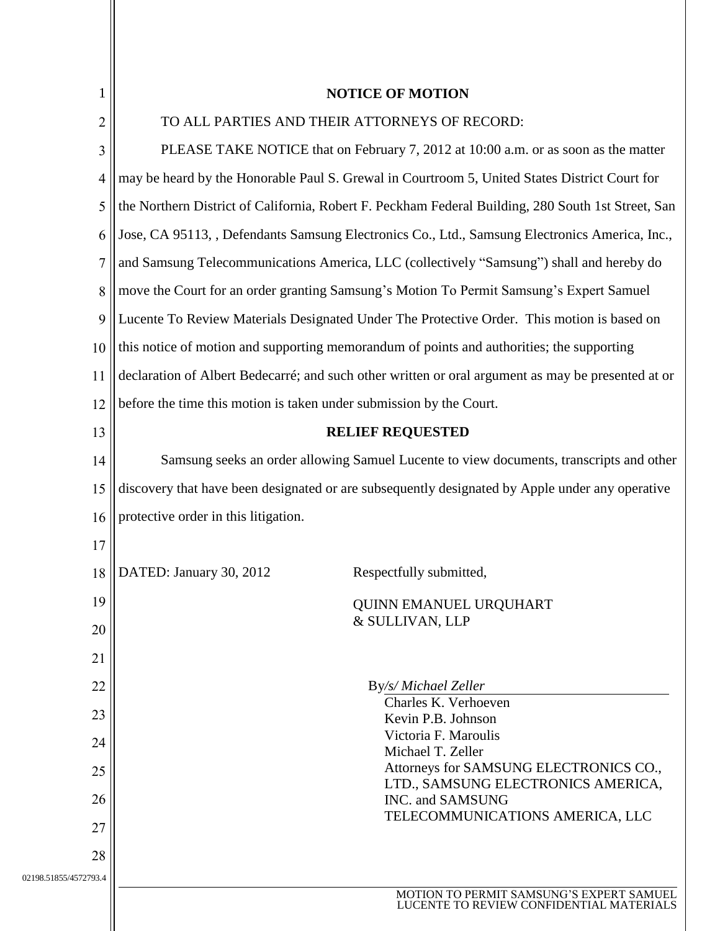|                       | <b>NOTICE OF MOTION</b>                                                                            |  |  |
|-----------------------|----------------------------------------------------------------------------------------------------|--|--|
| $\overline{2}$        | TO ALL PARTIES AND THEIR ATTORNEYS OF RECORD:                                                      |  |  |
| 3                     | PLEASE TAKE NOTICE that on February 7, 2012 at 10:00 a.m. or as soon as the matter                 |  |  |
| 4                     | may be heard by the Honorable Paul S. Grewal in Courtroom 5, United States District Court for      |  |  |
| 5                     | the Northern District of California, Robert F. Peckham Federal Building, 280 South 1st Street, San |  |  |
| 6                     | Jose, CA 95113, , Defendants Samsung Electronics Co., Ltd., Samsung Electronics America, Inc.,     |  |  |
| 7                     | and Samsung Telecommunications America, LLC (collectively "Samsung") shall and hereby do           |  |  |
| 8                     | move the Court for an order granting Samsung's Motion To Permit Samsung's Expert Samuel            |  |  |
| 9                     | Lucente To Review Materials Designated Under The Protective Order. This motion is based on         |  |  |
| 10                    | this notice of motion and supporting memorandum of points and authorities; the supporting          |  |  |
| 11                    | declaration of Albert Bedecarré; and such other written or oral argument as may be presented at or |  |  |
| 12                    | before the time this motion is taken under submission by the Court.                                |  |  |
| 13                    | <b>RELIEF REQUESTED</b>                                                                            |  |  |
| 14                    | Samsung seeks an order allowing Samuel Lucente to view documents, transcripts and other            |  |  |
| 15                    | discovery that have been designated or are subsequently designated by Apple under any operative    |  |  |
| 16                    | protective order in this litigation.                                                               |  |  |
| 17                    |                                                                                                    |  |  |
| 18                    | DATED: January 30, 2012<br>Respectfully submitted,                                                 |  |  |
| 19                    | <b>QUINN EMANUEL URQUHART</b>                                                                      |  |  |
| 20                    | & SULLIVAN, LLP                                                                                    |  |  |
| 21                    |                                                                                                    |  |  |
| 22                    | By/s/ Michael Zeller                                                                               |  |  |
| 23                    | Charles K. Verhoeven<br>Kevin P.B. Johnson                                                         |  |  |
| 24                    | Victoria F. Maroulis<br>Michael T. Zeller                                                          |  |  |
| 25                    | Attorneys for SAMSUNG ELECTRONICS CO.,<br>LTD., SAMSUNG ELECTRONICS AMERICA,                       |  |  |
| 26                    | INC. and SAMSUNG                                                                                   |  |  |
| 27                    | TELECOMMUNICATIONS AMERICA, LLC                                                                    |  |  |
| 28                    |                                                                                                    |  |  |
| 02198.51855/4572793.4 | MOTION TO PERMIT SAMSUNG'S EXPERT SAMUEL                                                           |  |  |
|                       | LUCENTE TO REVIEW CONFIDENTIAL MATERIALS                                                           |  |  |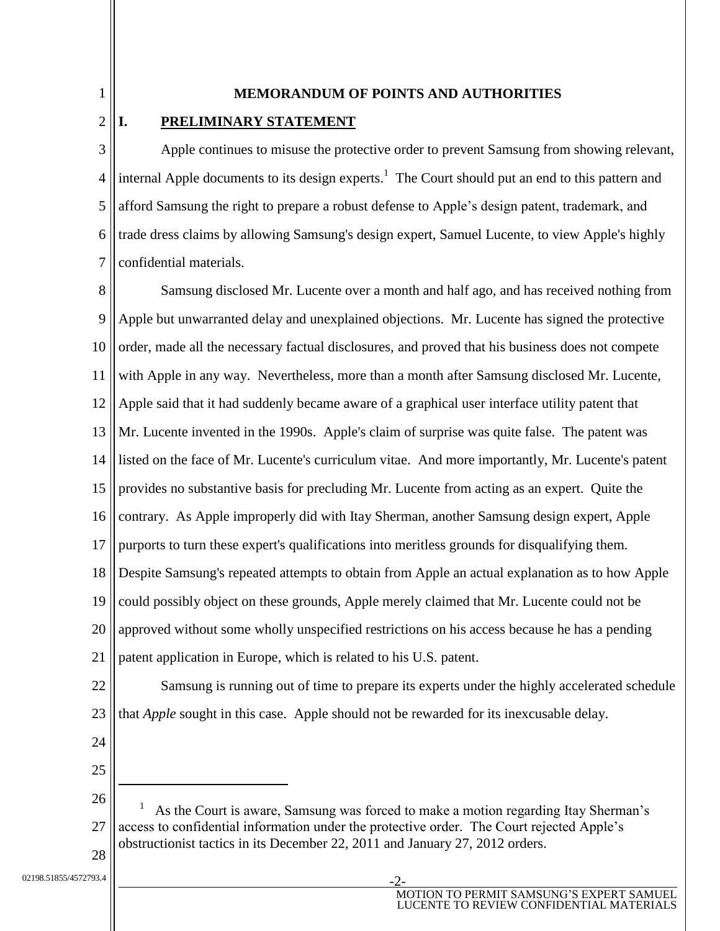#### **MEMORANDUM OF POINTS AND AUTHORITIES**

#### **I. PRELIMINARY STATEMENT**

1

2

3 4 5 6 7 Apple continues to misuse the protective order to prevent Samsung from showing relevant, internal Apple documents to its design experts.<sup>1</sup> The Court should put an end to this pattern and afford Samsung the right to prepare a robust defense to Apple's design patent, trademark, and trade dress claims by allowing Samsung's design expert, Samuel Lucente, to view Apple's highly confidential materials.

8 9 10 11 12 13 14 15 16 17 18 19 20 21 22 23 24 Samsung disclosed Mr. Lucente over a month and half ago, and has received nothing from Apple but unwarranted delay and unexplained objections. Mr. Lucente has signed the protective order, made all the necessary factual disclosures, and proved that his business does not compete with Apple in any way. Nevertheless, more than a month after Samsung disclosed Mr. Lucente, Apple said that it had suddenly became aware of a graphical user interface utility patent that Mr. Lucente invented in the 1990s. Apple's claim of surprise was quite false. The patent was listed on the face of Mr. Lucente's curriculum vitae. And more importantly, Mr. Lucente's patent provides no substantive basis for precluding Mr. Lucente from acting as an expert. Quite the contrary. As Apple improperly did with Itay Sherman, another Samsung design expert, Apple purports to turn these expert's qualifications into meritless grounds for disqualifying them. Despite Samsung's repeated attempts to obtain from Apple an actual explanation as to how Apple could possibly object on these grounds, Apple merely claimed that Mr. Lucente could not be approved without some wholly unspecified restrictions on his access because he has a pending patent application in Europe, which is related to his U.S. patent. Samsung is running out of time to prepare its experts under the highly accelerated schedule that *Apple* sought in this case. Apple should not be rewarded for its inexcusable delay.

25

 $\overline{a}$ 

- 26 27 28 1 As the Court is aware, Samsung was forced to make a motion regarding Itay Sherman's access to confidential information under the protective order. The Court rejected Apple's obstructionist tactics in its December 22, 2011 and January 27, 2012 orders.
- 02198.51855/4572793.4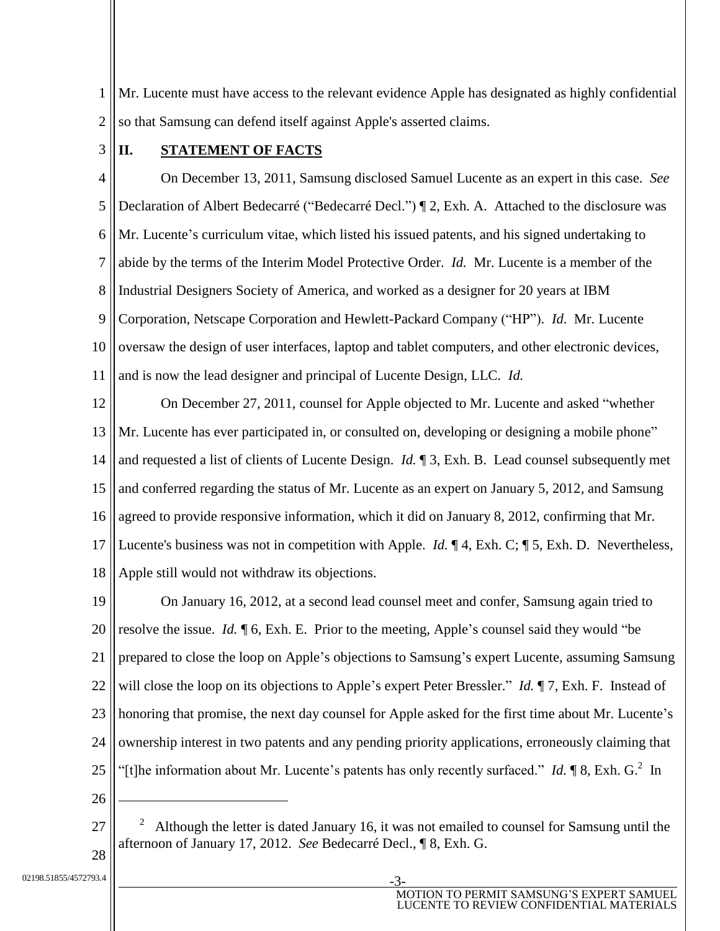1 2 Mr. Lucente must have access to the relevant evidence Apple has designated as highly confidential so that Samsung can defend itself against Apple's asserted claims.

3

### **II. STATEMENT OF FACTS**

4 5 6 7 8 9 10 11 On December 13, 2011, Samsung disclosed Samuel Lucente as an expert in this case. *See*  Declaration of Albert Bedecarré ("Bedecarré Decl.") ¶ 2, Exh. A. Attached to the disclosure was Mr. Lucente's curriculum vitae, which listed his issued patents, and his signed undertaking to abide by the terms of the Interim Model Protective Order. *Id.* Mr. Lucente is a member of the Industrial Designers Society of America, and worked as a designer for 20 years at IBM Corporation, Netscape Corporation and Hewlett-Packard Company ("HP"). *Id*. Mr. Lucente oversaw the design of user interfaces, laptop and tablet computers, and other electronic devices, and is now the lead designer and principal of Lucente Design, LLC. *Id.*

12 13 14 15 16 17 18 On December 27, 2011, counsel for Apple objected to Mr. Lucente and asked "whether Mr. Lucente has ever participated in, or consulted on, developing or designing a mobile phone" and requested a list of clients of Lucente Design. *Id.* ¶ 3, Exh. B. Lead counsel subsequently met and conferred regarding the status of Mr. Lucente as an expert on January 5, 2012, and Samsung agreed to provide responsive information, which it did on January 8, 2012, confirming that Mr. Lucente's business was not in competition with Apple. *Id.* ¶ 4, Exh. C; ¶ 5, Exh. D. Nevertheless, Apple still would not withdraw its objections.

19 20 21 22 23 24 25 On January 16, 2012, at a second lead counsel meet and confer, Samsung again tried to resolve the issue. *Id.* ¶ 6, Exh. E. Prior to the meeting, Apple's counsel said they would "be prepared to close the loop on Apple's objections to Samsung's expert Lucente, assuming Samsung will close the loop on its objections to Apple's expert Peter Bressler." *Id.*  $\P$ 7, Exh. F. Instead of honoring that promise, the next day counsel for Apple asked for the first time about Mr. Lucente's ownership interest in two patents and any pending priority applications, erroneously claiming that "[t]he information about Mr. Lucente's patents has only recently surfaced." *Id.*  $\P$ 8, Exh. G.<sup>2</sup> In

26

 $\overline{a}$ 

02198.51855/4572793.4

<sup>27</sup> 28 2 Although the letter is dated January 16, it was not emailed to counsel for Samsung until the afternoon of January 17, 2012. *See* Bedecarré Decl., ¶ 8, Exh. G.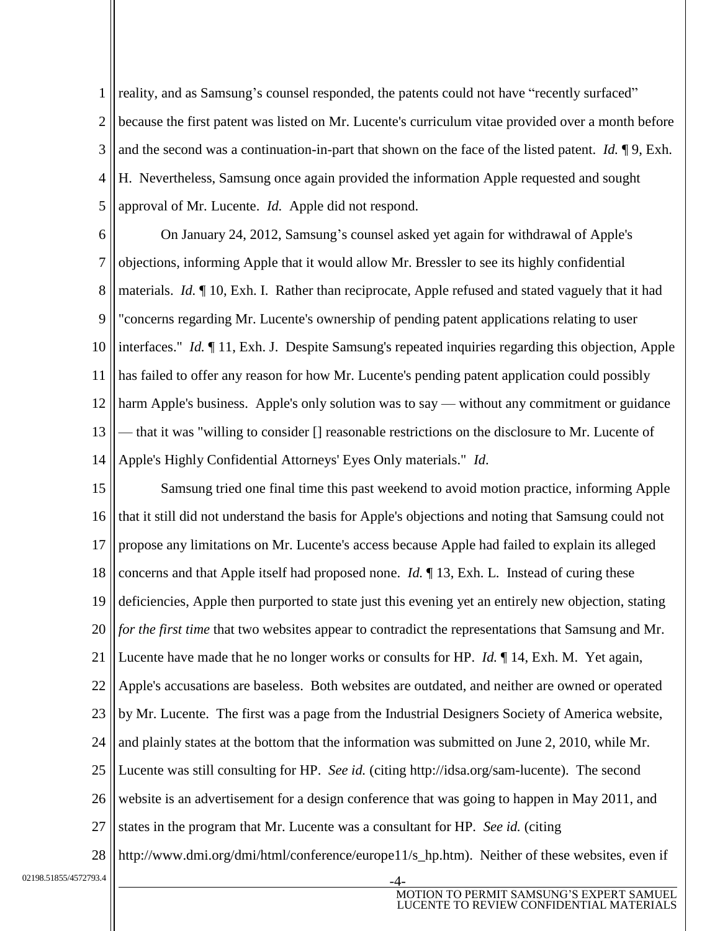1 2 3 4 5 reality, and as Samsung's counsel responded, the patents could not have "recently surfaced" because the first patent was listed on Mr. Lucente's curriculum vitae provided over a month before and the second was a continuation-in-part that shown on the face of the listed patent. *Id.* ¶ 9, Exh. H. Nevertheless, Samsung once again provided the information Apple requested and sought approval of Mr. Lucente. *Id.* Apple did not respond.

6 7 8 9 10 11 12 13 14 On January 24, 2012, Samsung's counsel asked yet again for withdrawal of Apple's objections, informing Apple that it would allow Mr. Bressler to see its highly confidential materials. *Id.* ¶ 10, Exh. I. Rather than reciprocate, Apple refused and stated vaguely that it had "concerns regarding Mr. Lucente's ownership of pending patent applications relating to user interfaces." *Id.* ¶ 11, Exh. J. Despite Samsung's repeated inquiries regarding this objection, Apple has failed to offer any reason for how Mr. Lucente's pending patent application could possibly harm Apple's business. Apple's only solution was to say — without any commitment or guidance — that it was "willing to consider [] reasonable restrictions on the disclosure to Mr. Lucente of Apple's Highly Confidential Attorneys' Eyes Only materials." *Id*.

15 16 17 18 19 20 21 22 23 24 25 26 27 28 Samsung tried one final time this past weekend to avoid motion practice, informing Apple that it still did not understand the basis for Apple's objections and noting that Samsung could not propose any limitations on Mr. Lucente's access because Apple had failed to explain its alleged concerns and that Apple itself had proposed none. *Id.* ¶ 13, Exh. L. Instead of curing these deficiencies, Apple then purported to state just this evening yet an entirely new objection, stating *for the first time that two websites appear to contradict the representations that Samsung and Mr.* Lucente have made that he no longer works or consults for HP. *Id.* ¶ 14, Exh. M. Yet again, Apple's accusations are baseless. Both websites are outdated, and neither are owned or operated by Mr. Lucente. The first was a page from the Industrial Designers Society of America website, and plainly states at the bottom that the information was submitted on June 2, 2010, while Mr. Lucente was still consulting for HP. *See id.* (citing http://idsa.org/sam-lucente). The second website is an advertisement for a design conference that was going to happen in May 2011, and states in the program that Mr. Lucente was a consultant for HP. *See id.* (citing http://www.dmi.org/dmi/html/conference/europe11/s hp.htm). Neither of these websites, even if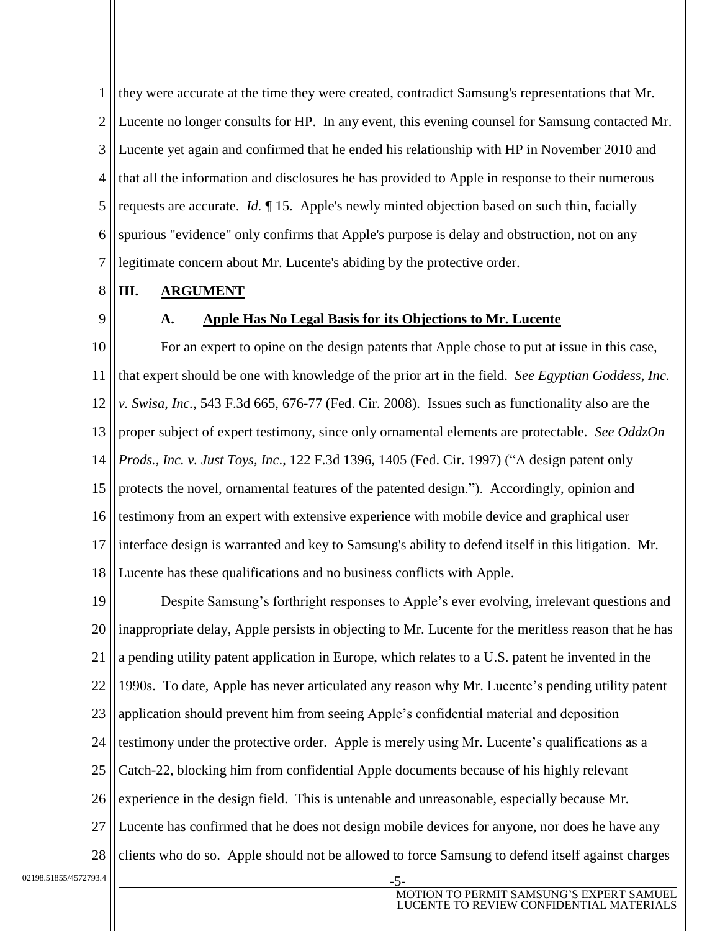1 2 3 4 5 6 7 they were accurate at the time they were created, contradict Samsung's representations that Mr. Lucente no longer consults for HP. In any event, this evening counsel for Samsung contacted Mr. Lucente yet again and confirmed that he ended his relationship with HP in November 2010 and that all the information and disclosures he has provided to Apple in response to their numerous requests are accurate. *Id.* ¶ 15. Apple's newly minted objection based on such thin, facially spurious "evidence" only confirms that Apple's purpose is delay and obstruction, not on any legitimate concern about Mr. Lucente's abiding by the protective order.

- 8 **III. ARGUMENT**
- 9

#### **A. Apple Has No Legal Basis for its Objections to Mr. Lucente**

10 11 12 13 14 15 16 17 18 For an expert to opine on the design patents that Apple chose to put at issue in this case, that expert should be one with knowledge of the prior art in the field. *See Egyptian Goddess, Inc. v. Swisa, Inc.*, 543 F.3d 665, 676-77 (Fed. Cir. 2008). Issues such as functionality also are the proper subject of expert testimony, since only ornamental elements are protectable. *See OddzOn Prods., Inc. v. Just Toys, Inc*., 122 F.3d 1396, 1405 (Fed. Cir. 1997) ("A design patent only protects the novel, ornamental features of the patented design."). Accordingly, opinion and testimony from an expert with extensive experience with mobile device and graphical user interface design is warranted and key to Samsung's ability to defend itself in this litigation. Mr. Lucente has these qualifications and no business conflicts with Apple.

19 20 21 22 23 24 25 26 27 28 Despite Samsung's forthright responses to Apple's ever evolving, irrelevant questions and inappropriate delay, Apple persists in objecting to Mr. Lucente for the meritless reason that he has a pending utility patent application in Europe, which relates to a U.S. patent he invented in the 1990s. To date, Apple has never articulated any reason why Mr. Lucente's pending utility patent application should prevent him from seeing Apple's confidential material and deposition testimony under the protective order. Apple is merely using Mr. Lucente's qualifications as a Catch-22, blocking him from confidential Apple documents because of his highly relevant experience in the design field. This is untenable and unreasonable, especially because Mr. Lucente has confirmed that he does not design mobile devices for anyone, nor does he have any clients who do so. Apple should not be allowed to force Samsung to defend itself against charges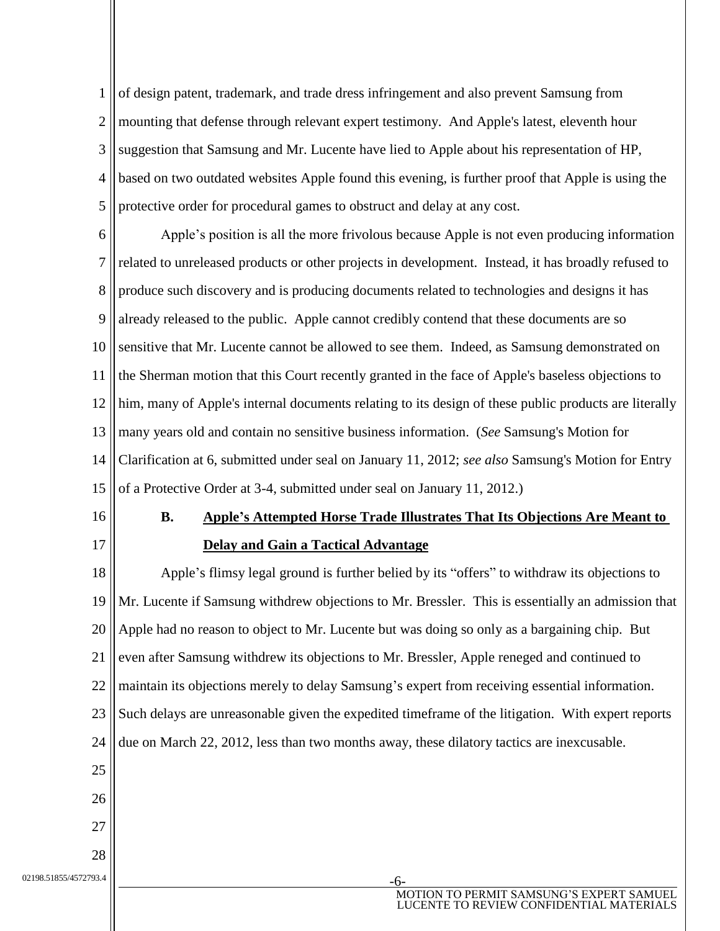1 2 3 4 5 of design patent, trademark, and trade dress infringement and also prevent Samsung from mounting that defense through relevant expert testimony. And Apple's latest, eleventh hour suggestion that Samsung and Mr. Lucente have lied to Apple about his representation of HP, based on two outdated websites Apple found this evening, is further proof that Apple is using the protective order for procedural games to obstruct and delay at any cost.

6 7 8 9 10 11 12 13 14 15 Apple's position is all the more frivolous because Apple is not even producing information related to unreleased products or other projects in development. Instead, it has broadly refused to produce such discovery and is producing documents related to technologies and designs it has already released to the public. Apple cannot credibly contend that these documents are so sensitive that Mr. Lucente cannot be allowed to see them. Indeed, as Samsung demonstrated on the Sherman motion that this Court recently granted in the face of Apple's baseless objections to him, many of Apple's internal documents relating to its design of these public products are literally many years old and contain no sensitive business information. (*See* Samsung's Motion for Clarification at 6, submitted under seal on January 11, 2012; *see also* Samsung's Motion for Entry of a Protective Order at 3-4, submitted under seal on January 11, 2012.)

- 16
- 17

## **B. Apple's Attempted Horse Trade Illustrates That Its Objections Are Meant to Delay and Gain a Tactical Advantage**

18 19 20 21 22 23 24 25 26 27 Apple's flimsy legal ground is further belied by its "offers" to withdraw its objections to Mr. Lucente if Samsung withdrew objections to Mr. Bressler. This is essentially an admission that Apple had no reason to object to Mr. Lucente but was doing so only as a bargaining chip. But even after Samsung withdrew its objections to Mr. Bressler, Apple reneged and continued to maintain its objections merely to delay Samsung's expert from receiving essential information. Such delays are unreasonable given the expedited timeframe of the litigation. With expert reports due on March 22, 2012, less than two months away, these dilatory tactics are inexcusable.

02198.51855/4572793.4

28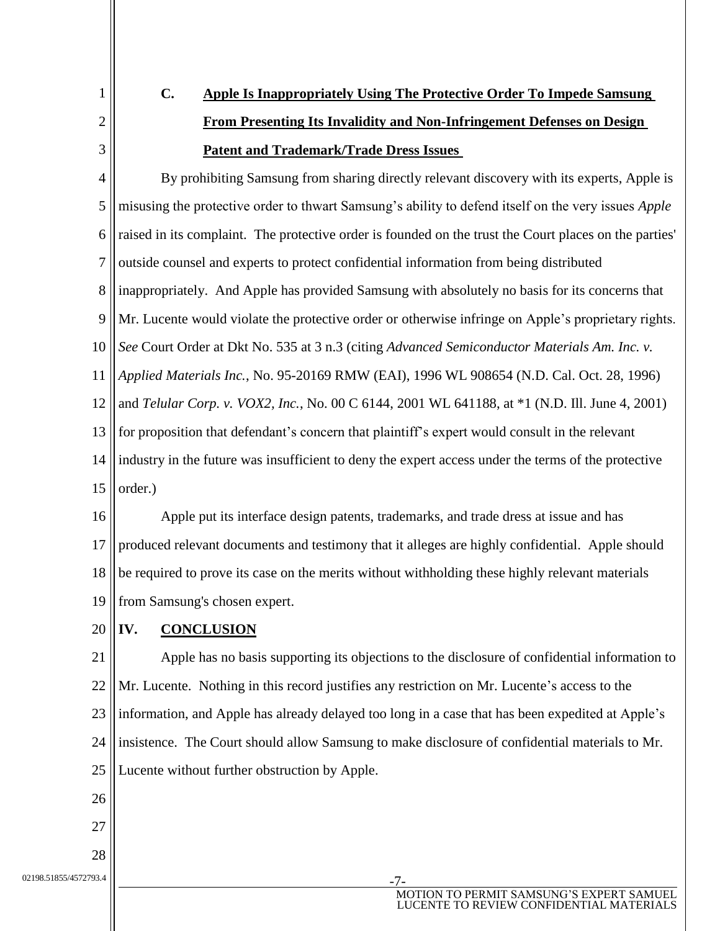1 2

3

# **C. Apple Is Inappropriately Using The Protective Order To Impede Samsung From Presenting Its Invalidity and Non-Infringement Defenses on Design Patent and Trademark/Trade Dress Issues**

4 5 6 7 8 9 10 11 12 13 14 15 By prohibiting Samsung from sharing directly relevant discovery with its experts, Apple is misusing the protective order to thwart Samsung's ability to defend itself on the very issues *Apple* raised in its complaint. The protective order is founded on the trust the Court places on the parties' outside counsel and experts to protect confidential information from being distributed inappropriately. And Apple has provided Samsung with absolutely no basis for its concerns that Mr. Lucente would violate the protective order or otherwise infringe on Apple's proprietary rights. *See* Court Order at Dkt No. 535 at 3 n.3 (citing *Advanced Semiconductor Materials Am. Inc. v. Applied Materials Inc.*, No. 95-20169 RMW (EAI), 1996 WL 908654 (N.D. Cal. Oct. 28, 1996) and *Telular Corp. v. VOX2, Inc.*, No. 00 C 6144, 2001 WL 641188, at \*1 (N.D. Ill. June 4, 2001) for proposition that defendant's concern that plaintiff's expert would consult in the relevant industry in the future was insufficient to deny the expert access under the terms of the protective order.)

16 17 18 19 Apple put its interface design patents, trademarks, and trade dress at issue and has produced relevant documents and testimony that it alleges are highly confidential. Apple should be required to prove its case on the merits without withholding these highly relevant materials from Samsung's chosen expert.

#### 20 **IV. CONCLUSION**

21 22 23 24 25 Apple has no basis supporting its objections to the disclosure of confidential information to Mr. Lucente. Nothing in this record justifies any restriction on Mr. Lucente's access to the information, and Apple has already delayed too long in a case that has been expedited at Apple's insistence. The Court should allow Samsung to make disclosure of confidential materials to Mr. Lucente without further obstruction by Apple.

- 26
- 27

28

02198.51855/4572793.4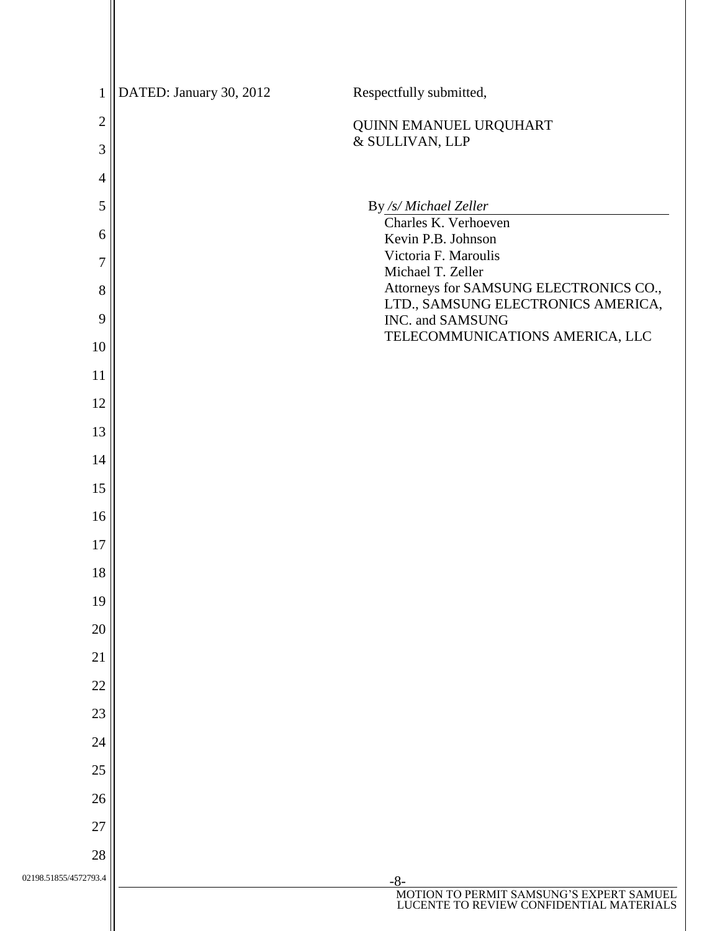| $\mathbf{1}$          | DATED: January 30, 2012 | Respectfully submitted,                                                                       |
|-----------------------|-------------------------|-----------------------------------------------------------------------------------------------|
| $\overline{2}$        |                         | QUINN EMANUEL URQUHART                                                                        |
| $\mathfrak{Z}$        |                         | & SULLIVAN, LLP                                                                               |
| $\overline{4}$        |                         |                                                                                               |
| 5                     |                         | By /s/ Michael Zeller<br>Charles K. Verhoeven                                                 |
| 6                     |                         | Kevin P.B. Johnson                                                                            |
| $\overline{7}$        |                         | Victoria F. Maroulis<br>Michael T. Zeller                                                     |
| 8                     |                         | Attorneys for SAMSUNG ELECTRONICS CO.,<br>LTD., SAMSUNG ELECTRONICS AMERICA,                  |
| 9                     |                         | INC. and SAMSUNG                                                                              |
| 10                    |                         | TELECOMMUNICATIONS AMERICA, LLC                                                               |
| $11\,$                |                         |                                                                                               |
| 12                    |                         |                                                                                               |
| 13                    |                         |                                                                                               |
| 14                    |                         |                                                                                               |
| 15                    |                         |                                                                                               |
| 16                    |                         |                                                                                               |
| 17                    |                         |                                                                                               |
| 18                    |                         |                                                                                               |
| 19                    |                         |                                                                                               |
| 20                    |                         |                                                                                               |
| 21                    |                         |                                                                                               |
| 22                    |                         |                                                                                               |
| 23                    |                         |                                                                                               |
| 24                    |                         |                                                                                               |
| 25                    |                         |                                                                                               |
| 26                    |                         |                                                                                               |
| 27                    |                         |                                                                                               |
| 28                    |                         |                                                                                               |
| 02198.51855/4572793.4 |                         | $-8-$<br>MOTION TO PERMIT SAMSUNG'S EXPERT SAMUEL<br>LUCENTE TO REVIEW CONFIDENTIAL MATERIALS |
|                       |                         |                                                                                               |